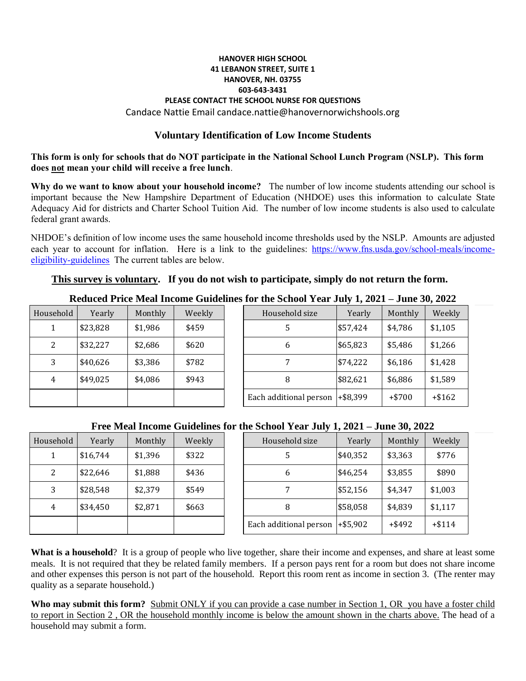#### **HANOVER HIGH SCHOOL 41 LEBANON STREET, SUITE 1 HANOVER, NH. 03755 603-643-3431 PLEASE CONTACT THE SCHOOL NURSE FOR QUESTIONS** Candace Nattie Email candace.nattie@hanovernorwichshools.org

### **Voluntary Identification of Low Income Students**

**This form is only for schools that do NOT participate in the National School Lunch Program (NSLP). This form does not mean your child will receive a free lunch**.

**Why do we want to know about your household income?** The number of low income students attending our school is important because the New Hampshire Department of Education (NHDOE) uses this information to calculate State Adequacy Aid for districts and Charter School Tuition Aid. The number of low income students is also used to calculate federal grant awards.

NHDOE's definition of low income uses the same household income thresholds used by the NSLP. Amounts are adjusted each year to account for inflation. Here is a link to the guidelines: [https://www.fns.usda.gov/school-meals/income](https://www.fns.usda.gov/school-meals/income-eligibility-guidelines)[eligibility-guidelines](https://www.fns.usda.gov/school-meals/income-eligibility-guidelines) The current tables are below.

### **This survey is voluntary. If you do not wish to participate, simply do not return the form.**

|           |          |         |        | Reduced 1 rice inical medility of the functions for the school 1 call July 1, $2021 - 3$ une $30, 2022$ |          |          |          |
|-----------|----------|---------|--------|---------------------------------------------------------------------------------------------------------|----------|----------|----------|
| Household | Yearly   | Monthly | Weekly | Household size                                                                                          | Yearly   | Monthly  | Weekly   |
|           | \$23,828 | \$1,986 | \$459  |                                                                                                         | \$57,424 | \$4,786  | \$1,105  |
| っ         | \$32,227 | \$2,686 | \$620  | b                                                                                                       | \$65,823 | \$5,486  | \$1,266  |
|           | \$40,626 | \$3,386 | \$782  |                                                                                                         | \$74,222 | \$6,186  | \$1,428  |
|           | \$49,025 | \$4,086 | \$943  | 8                                                                                                       | \$82,621 | \$6,886  | \$1,589  |
|           |          |         |        | Each additional person $ +\$8,399$                                                                      |          | $+ $700$ | $+ $162$ |

# **Reduced Price Meal Income Guidelines for the School Year July 1, 2021 – June 30, 2022**

| $101$ and $001001$ $1001$ $001$ , $1001$ |          |          |          |  |  |  |  |
|------------------------------------------|----------|----------|----------|--|--|--|--|
| Household size                           | Yearly   | Monthly  | Weekly   |  |  |  |  |
|                                          | \$57,424 | \$4,786  | \$1,105  |  |  |  |  |
| 6                                        | \$65,823 | \$5,486  | \$1,266  |  |  |  |  |
|                                          | \$74,222 | \$6,186  | \$1,428  |  |  |  |  |
|                                          | \$82,621 | \$6,886  | \$1,589  |  |  |  |  |
| Each additional person                   | +\$8,399 | $+ $700$ | $+ $162$ |  |  |  |  |

## **Free Meal Income Guidelines for the School Year July 1, 2021 – June 30, 2022**

| Household | Yearly   | Monthly | Weekly |
|-----------|----------|---------|--------|
|           | \$16,744 | \$1,396 | \$322  |
| 2         | \$22,646 | \$1,888 | \$436  |
| 3         | \$28,548 | \$2,379 | \$549  |
| 4         | \$34,450 | \$2,871 | \$663  |
|           |          |         |        |

|                                       | TTW MMAI MWMW QUIQUING TVI MC DUNVOI TUAI JUIY 1, 2021 – JUNC 90, 2022 |         |                |        |                                    |          |           |          |  |
|---------------------------------------|------------------------------------------------------------------------|---------|----------------|--------|------------------------------------|----------|-----------|----------|--|
| sehold<br>Weekly<br>Yearly<br>Monthly |                                                                        |         | Household size | Yearly | Monthly                            | Weekly   |           |          |  |
|                                       | \$16,744                                                               | \$1,396 | \$322          |        |                                    | \$40,352 | \$3,363   | \$776    |  |
| $\overline{2}$                        | \$22,646                                                               | \$1,888 | \$436          |        | 6                                  | \$46,254 | \$3,855   | \$890    |  |
| 3                                     | \$28,548                                                               | \$2,379 | \$549          |        |                                    | \$52,156 | \$4,347   | \$1,003  |  |
| 4                                     | \$34,450                                                               | \$2,871 | \$663          |        | 8                                  | \$58,058 | \$4,839   | \$1,117  |  |
|                                       |                                                                        |         |                |        | Each additional person $ +\$5,902$ |          | $+$ \$492 | $+ $114$ |  |

**What is a household**? It is a group of people who live together, share their income and expenses, and share at least some meals. It is not required that they be related family members. If a person pays rent for a room but does not share income and other expenses this person is not part of the household. Report this room rent as income in section 3. (The renter may quality as a separate household.)

Who may submit this form? Submit ONLY if you can provide a case number in Section 1, OR you have a foster child to report in Section 2 , OR the household monthly income is below the amount shown in the charts above. The head of a household may submit a form.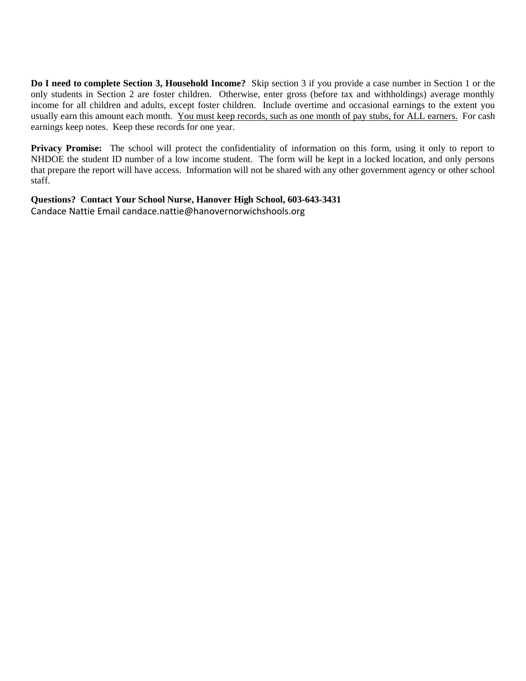**Do I need to complete Section 3, Household Income?** Skip section 3 if you provide a case number in Section 1 or the only students in Section 2 are foster children. Otherwise, enter gross (before tax and withholdings) average monthly income for all children and adults, except foster children. Include overtime and occasional earnings to the extent you usually earn this amount each month. You must keep records, such as one month of pay stubs, for ALL earners. For cash earnings keep notes. Keep these records for one year.

**Privacy Promise:** The school will protect the confidentiality of information on this form, using it only to report to NHDOE the student ID number of a low income student. The form will be kept in a locked location, and only persons that prepare the report will have access. Information will not be shared with any other government agency or other school staff.

**Questions? Contact Your School Nurse, Hanover High School, 603-643-3431** Candace Nattie Email candace.nattie@hanovernorwichshools.org